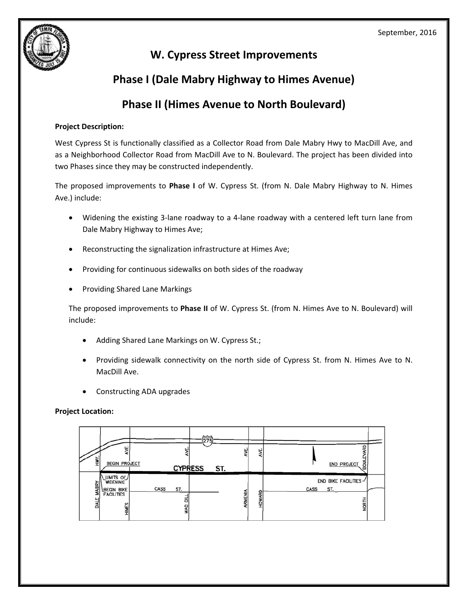

# **W. Cypress Street Improvements**

 **Phase I (Dale Mabry Highway to Himes Avenue)**

# **Phase II (Himes Avenue to North Boulevard)**

## **Project Description:**

 West Cypress St is functionally classified as a Collector Road from Dale Mabry Hwy to MacDill Ave, and as a Neighborhood Collector Road from MacDill Ave to N. Boulevard. The project has been divided into two Phases since they may be constructed independently.

 The proposed improvements to **Phase I** of W. Cypress St. (from N. Dale Mabry Highway to N. Himes Ave.) include:

- Widening the existing 3-lane roadway to a 4-lane roadway with a centered left turn lane from Dale Mabry Highway to Himes Ave;
- Reconstructing the signalization infrastructure at Himes Ave;
- Providing for continuous sidewalks on both sides of the roadway
- Providing Shared Lane Markings

 The proposed improvements to **Phase II** of W. Cypress St. (from N. Himes Ave to N. Boulevard) will include:

- Adding Shared Lane Markings on W. Cypress St.;
- Providing sidewalk connectivity on the north side of Cypress St. from N. Himes Ave to N. MacDill Ave.
- Constructing ADA upgrades

### **Project Location:**